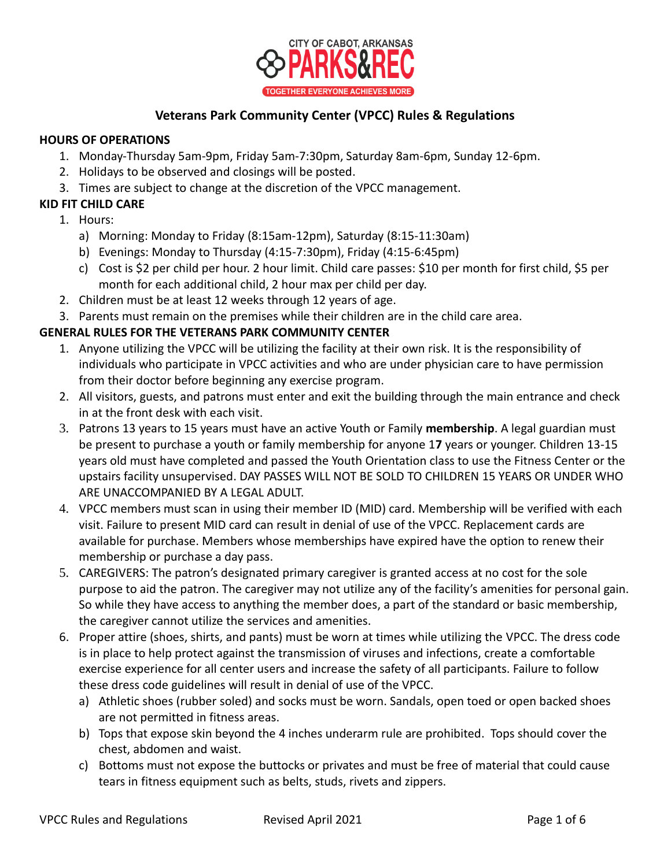

# **Veterans Park Community Center (VPCC) Rules & Regulations**

#### **HOURS OF OPERATIONS**

- 1. Monday-Thursday 5am-9pm, Friday 5am-7:30pm, Saturday 8am-6pm, Sunday 12-6pm.
- 2. Holidays to be observed and closings will be posted.
- 3. Times are subject to change at the discretion of the VPCC management.

### **KID FIT CHILD CARE**

- 1. Hours:
	- a) Morning: Monday to Friday (8:15am-12pm), Saturday (8:15-11:30am)
	- b) Evenings: Monday to Thursday (4:15-7:30pm), Friday (4:15-6:45pm)
	- c) Cost is \$2 per child per hour. 2 hour limit. Child care passes: \$10 per month for first child, \$5 per month for each additional child, 2 hour max per child per day.
- 2. Children must be at least 12 weeks through 12 years of age.
- 3. Parents must remain on the premises while their children are in the child care area.

### **GENERAL RULES FOR THE VETERANS PARK COMMUNITY CENTER**

- 1. Anyone utilizing the VPCC will be utilizing the facility at their own risk. It is the responsibility of individuals who participate in VPCC activities and who are under physician care to have permission from their doctor before beginning any exercise program.
- 2. All visitors, guests, and patrons must enter and exit the building through the main entrance and check in at the front desk with each visit.
- 3. Patrons 13 years to 15 years must have an active Youth or Family **membership**. A legal guardian must be present to purchase a youth or family membership for anyone 1**7** years or younger. Children 13-15 years old must have completed and passed the Youth Orientation class to use the Fitness Center or the upstairs facility unsupervised. DAY PASSES WILL NOT BE SOLD TO CHILDREN 15 YEARS OR UNDER WHO ARE UNACCOMPANIED BY A LEGAL ADULT.
- 4. VPCC members must scan in using their member ID (MID) card. Membership will be verified with each visit. Failure to present MID card can result in denial of use of the VPCC. Replacement cards are available for purchase. Members whose memberships have expired have the option to renew their membership or purchase a day pass.
- 5. CAREGIVERS: The patron's designated primary caregiver is granted access at no cost for the sole purpose to aid the patron. The caregiver may not utilize any of the facility's amenities for personal gain. So while they have access to anything the member does, a part of the standard or basic membership, the caregiver cannot utilize the services and amenities.
- 6. Proper attire (shoes, shirts, and pants) must be worn at times while utilizing the VPCC. The dress code is in place to help protect against the transmission of viruses and infections, create a comfortable exercise experience for all center users and increase the safety of all participants. Failure to follow these dress code guidelines will result in denial of use of the VPCC.
	- a) Athletic shoes (rubber soled) and socks must be worn. Sandals, open toed or open backed shoes are not permitted in fitness areas.
	- b) Tops that expose skin beyond the 4 inches underarm rule are prohibited. Tops should cover the chest, abdomen and waist.
	- c) Bottoms must not expose the buttocks or privates and must be free of material that could cause tears in fitness equipment such as belts, studs, rivets and zippers.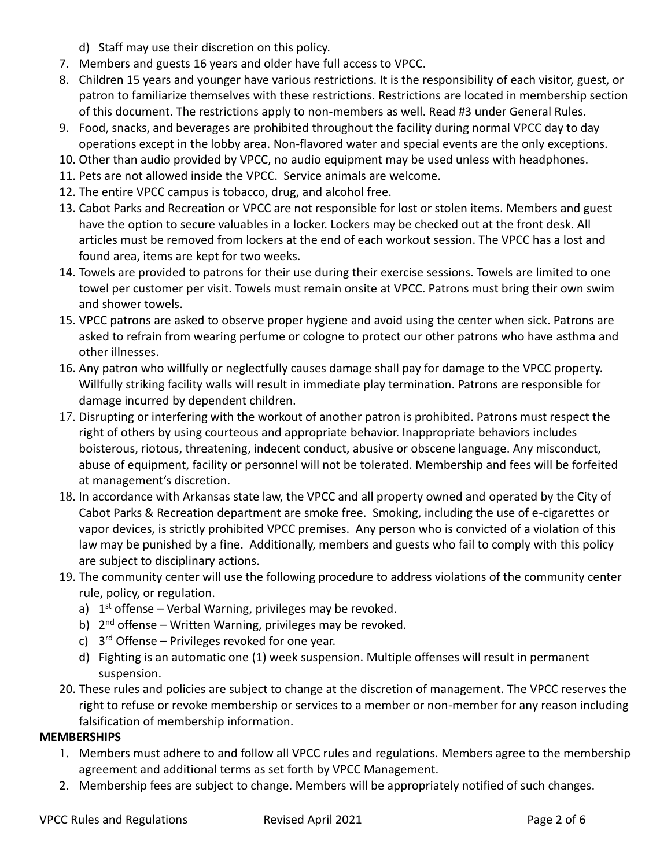- d) Staff may use their discretion on this policy.
- 7. Members and guests 16 years and older have full access to VPCC.
- 8. Children 15 years and younger have various restrictions. It is the responsibility of each visitor, guest, or patron to familiarize themselves with these restrictions. Restrictions are located in membership section of this document. The restrictions apply to non-members as well. Read #3 under General Rules.
- 9. Food, snacks, and beverages are prohibited throughout the facility during normal VPCC day to day operations except in the lobby area. Non-flavored water and special events are the only exceptions.
- 10. Other than audio provided by VPCC, no audio equipment may be used unless with headphones.
- 11. Pets are not allowed inside the VPCC. Service animals are welcome.
- 12. The entire VPCC campus is tobacco, drug, and alcohol free.
- 13. Cabot Parks and Recreation or VPCC are not responsible for lost or stolen items. Members and guest have the option to secure valuables in a locker. Lockers may be checked out at the front desk. All articles must be removed from lockers at the end of each workout session. The VPCC has a lost and found area, items are kept for two weeks.
- 14. Towels are provided to patrons for their use during their exercise sessions. Towels are limited to one towel per customer per visit. Towels must remain onsite at VPCC. Patrons must bring their own swim and shower towels.
- 15. VPCC patrons are asked to observe proper hygiene and avoid using the center when sick. Patrons are asked to refrain from wearing perfume or cologne to protect our other patrons who have asthma and other illnesses.
- 16. Any patron who willfully or neglectfully causes damage shall pay for damage to the VPCC property. Willfully striking facility walls will result in immediate play termination. Patrons are responsible for damage incurred by dependent children.
- 17. Disrupting or interfering with the workout of another patron is prohibited. Patrons must respect the right of others by using courteous and appropriate behavior. Inappropriate behaviors includes boisterous, riotous, threatening, indecent conduct, abusive or obscene language. Any misconduct, abuse of equipment, facility or personnel will not be tolerated. Membership and fees will be forfeited at management's discretion.
- 18. In accordance with Arkansas state law, the VPCC and all property owned and operated by the City of Cabot Parks & Recreation department are smoke free. Smoking, including the use of e-cigarettes or vapor devices, is strictly prohibited VPCC premises. Any person who is convicted of a violation of this law may be punished by a fine. Additionally, members and guests who fail to comply with this policy are subject to disciplinary actions.
- 19. The community center will use the following procedure to address violations of the community center rule, policy, or regulation.
	- a) 1<sup>st</sup> offense Verbal Warning, privileges may be revoked.
	- b) 2<sup>nd</sup> offense Written Warning, privileges may be revoked.
	- c) 3<sup>rd</sup> Offense Privileges revoked for one year.
	- d) Fighting is an automatic one (1) week suspension. Multiple offenses will result in permanent suspension.
- 20. These rules and policies are subject to change at the discretion of management. The VPCC reserves the right to refuse or revoke membership or services to a member or non-member for any reason including falsification of membership information.

## **MEMBERSHIPS**

- 1. Members must adhere to and follow all VPCC rules and regulations. Members agree to the membership agreement and additional terms as set forth by VPCC Management.
- 2. Membership fees are subject to change. Members will be appropriately notified of such changes.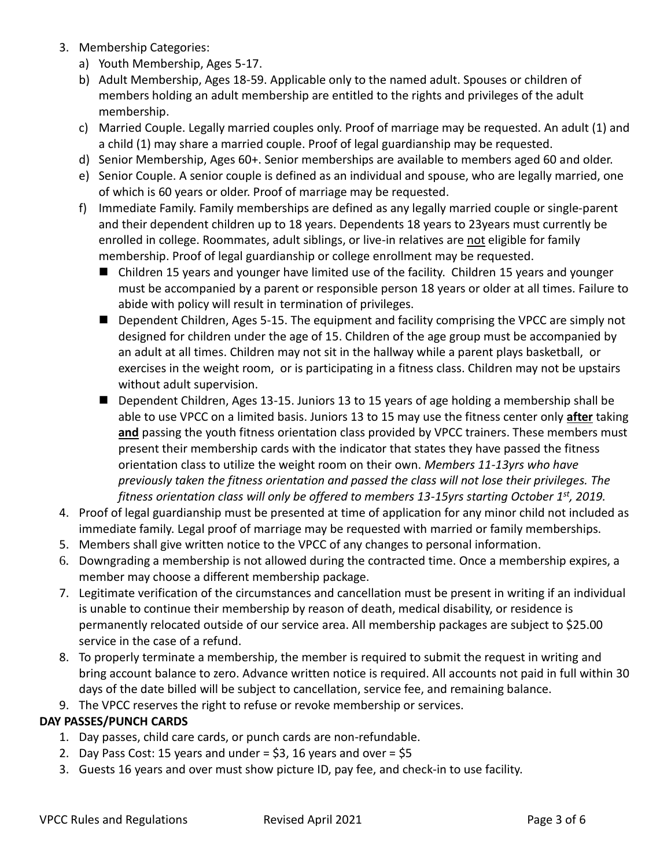- 3. Membership Categories:
	- a) Youth Membership, Ages 5-17.
	- b) Adult Membership, Ages 18-59. Applicable only to the named adult. Spouses or children of members holding an adult membership are entitled to the rights and privileges of the adult membership.
	- c) Married Couple. Legally married couples only. Proof of marriage may be requested. An adult (1) and a child (1) may share a married couple. Proof of legal guardianship may be requested.
	- d) Senior Membership, Ages 60+. Senior memberships are available to members aged 60 and older.
	- e) Senior Couple. A senior couple is defined as an individual and spouse, who are legally married, one of which is 60 years or older. Proof of marriage may be requested.
	- f) Immediate Family. Family memberships are defined as any legally married couple or single-parent and their dependent children up to 18 years. Dependents 18 years to 23years must currently be enrolled in college. Roommates, adult siblings, or live-in relatives are not eligible for family membership. Proof of legal guardianship or college enrollment may be requested.
		- Children 15 years and younger have limited use of the facility. Children 15 years and younger must be accompanied by a parent or responsible person 18 years or older at all times. Failure to abide with policy will result in termination of privileges.
		- Dependent Children, Ages 5-15. The equipment and facility comprising the VPCC are simply not designed for children under the age of 15. Children of the age group must be accompanied by an adult at all times. Children may not sit in the hallway while a parent plays basketball, or exercises in the weight room, or is participating in a fitness class. Children may not be upstairs without adult supervision.
		- Dependent Children, Ages 13-15. Juniors 13 to 15 years of age holding a membership shall be able to use VPCC on a limited basis. Juniors 13 to 15 may use the fitness center only **after** taking and passing the youth fitness orientation class provided by VPCC trainers. These members must present their membership cards with the indicator that states they have passed the fitness orientation class to utilize the weight room on their own. *Members 11-13yrs who have previously taken the fitness orientation and passed the class will not lose their privileges. The fitness orientation class will only be offered to members 13-15yrs starting October 1st, 2019.*
- 4. Proof of legal guardianship must be presented at time of application for any minor child not included as immediate family. Legal proof of marriage may be requested with married or family memberships.
- 5. Members shall give written notice to the VPCC of any changes to personal information.
- 6. Downgrading a membership is not allowed during the contracted time. Once a membership expires, a member may choose a different membership package.
- 7. Legitimate verification of the circumstances and cancellation must be present in writing if an individual is unable to continue their membership by reason of death, medical disability, or residence is permanently relocated outside of our service area. All membership packages are subject to \$25.00 service in the case of a refund.
- 8. To properly terminate a membership, the member is required to submit the request in writing and bring account balance to zero. Advance written notice is required. All accounts not paid in full within 30 days of the date billed will be subject to cancellation, service fee, and remaining balance.
- 9. The VPCC reserves the right to refuse or revoke membership or services.

## **DAY PASSES/PUNCH CARDS**

- 1. Day passes, child care cards, or punch cards are non-refundable.
- 2. Day Pass Cost: 15 years and under  $=$  \$3, 16 years and over  $=$  \$5
- 3. Guests 16 years and over must show picture ID, pay fee, and check-in to use facility.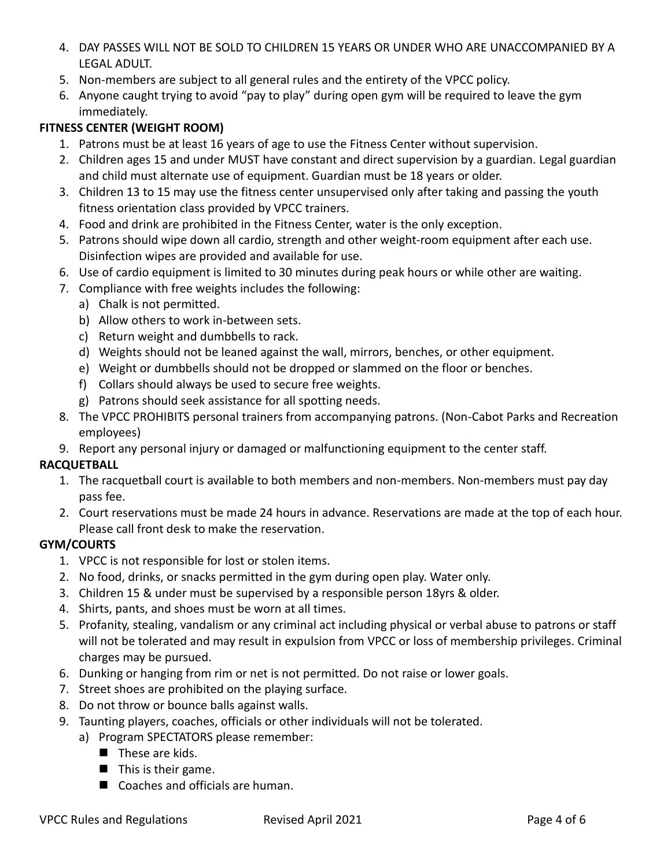- 4. DAY PASSES WILL NOT BE SOLD TO CHILDREN 15 YEARS OR UNDER WHO ARE UNACCOMPANIED BY A LEGAL ADULT.
- 5. Non-members are subject to all general rules and the entirety of the VPCC policy.
- 6. Anyone caught trying to avoid "pay to play" during open gym will be required to leave the gym immediately.

## **FITNESS CENTER (WEIGHT ROOM)**

- 1. Patrons must be at least 16 years of age to use the Fitness Center without supervision.
- 2. Children ages 15 and under MUST have constant and direct supervision by a guardian. Legal guardian and child must alternate use of equipment. Guardian must be 18 years or older.
- 3. Children 13 to 15 may use the fitness center unsupervised only after taking and passing the youth fitness orientation class provided by VPCC trainers.
- 4. Food and drink are prohibited in the Fitness Center, water is the only exception.
- 5. Patrons should wipe down all cardio, strength and other weight-room equipment after each use. Disinfection wipes are provided and available for use.
- 6. Use of cardio equipment is limited to 30 minutes during peak hours or while other are waiting.
- 7. Compliance with free weights includes the following:
	- a) Chalk is not permitted.
	- b) Allow others to work in-between sets.
	- c) Return weight and dumbbells to rack.
	- d) Weights should not be leaned against the wall, mirrors, benches, or other equipment.
	- e) Weight or dumbbells should not be dropped or slammed on the floor or benches.
	- f) Collars should always be used to secure free weights.
	- g) Patrons should seek assistance for all spotting needs.
- 8. The VPCC PROHIBITS personal trainers from accompanying patrons. (Non-Cabot Parks and Recreation employees)
- 9. Report any personal injury or damaged or malfunctioning equipment to the center staff.

### **RACQUETBALL**

- 1. The racquetball court is available to both members and non-members. Non-members must pay day pass fee.
- 2. Court reservations must be made 24 hours in advance. Reservations are made at the top of each hour. Please call front desk to make the reservation.

### **GYM/COURTS**

- 1. VPCC is not responsible for lost or stolen items.
- 2. No food, drinks, or snacks permitted in the gym during open play. Water only.
- 3. Children 15 & under must be supervised by a responsible person 18yrs & older.
- 4. Shirts, pants, and shoes must be worn at all times.
- 5. Profanity, stealing, vandalism or any criminal act including physical or verbal abuse to patrons or staff will not be tolerated and may result in expulsion from VPCC or loss of membership privileges. Criminal charges may be pursued.
- 6. Dunking or hanging from rim or net is not permitted. Do not raise or lower goals.
- 7. Street shoes are prohibited on the playing surface.
- 8. Do not throw or bounce balls against walls.
- 9. Taunting players, coaches, officials or other individuals will not be tolerated.
	- a) Program SPECTATORS please remember:
		- $\blacksquare$  These are kids.
		- This is their game.
		- Coaches and officials are human.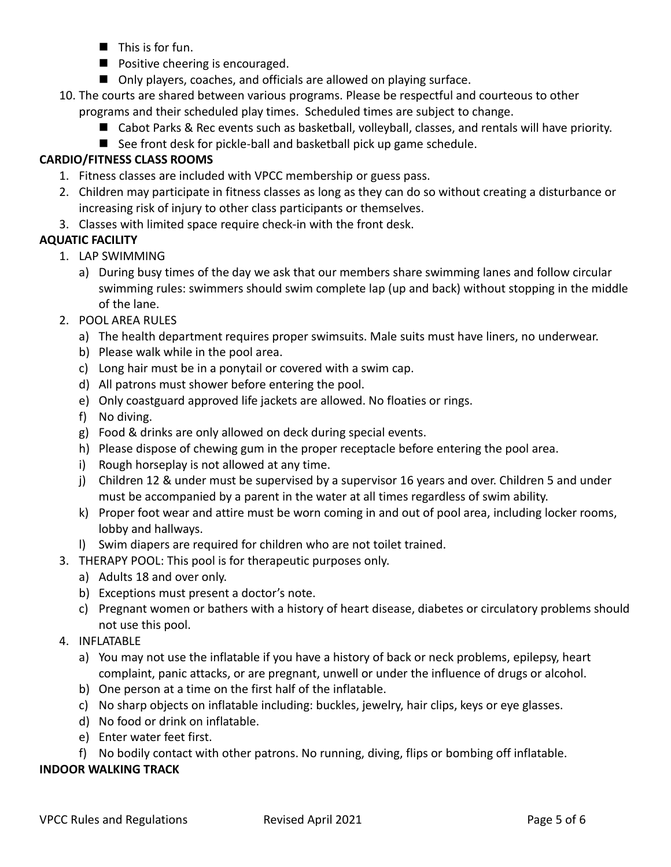- $\blacksquare$  This is for fun.
- Positive cheering is encouraged.
- Only players, coaches, and officials are allowed on playing surface.
- 10. The courts are shared between various programs. Please be respectful and courteous to other programs and their scheduled play times. Scheduled times are subject to change.
	- Cabot Parks & Rec events such as basketball, volleyball, classes, and rentals will have priority.
	- See front desk for pickle-ball and basketball pick up game schedule.

## **CARDIO/FITNESS CLASS ROOMS**

- 1. Fitness classes are included with VPCC membership or guess pass.
- 2. Children may participate in fitness classes as long as they can do so without creating a disturbance or increasing risk of injury to other class participants or themselves.
- 3. Classes with limited space require check-in with the front desk.

## **AQUATIC FACILITY**

- 1. LAP SWIMMING
	- a) During busy times of the day we ask that our members share swimming lanes and follow circular swimming rules: swimmers should swim complete lap (up and back) without stopping in the middle of the lane.
- 2. POOL AREA RULES
	- a) The health department requires proper swimsuits. Male suits must have liners, no underwear.
	- b) Please walk while in the pool area.
	- c) Long hair must be in a ponytail or covered with a swim cap.
	- d) All patrons must shower before entering the pool.
	- e) Only coastguard approved life jackets are allowed. No floaties or rings.
	- f) No diving.
	- g) Food & drinks are only allowed on deck during special events.
	- h) Please dispose of chewing gum in the proper receptacle before entering the pool area.
	- i) Rough horseplay is not allowed at any time.
	- j) Children 12 & under must be supervised by a supervisor 16 years and over. Children 5 and under must be accompanied by a parent in the water at all times regardless of swim ability.
	- k) Proper foot wear and attire must be worn coming in and out of pool area, including locker rooms, lobby and hallways.
	- l) Swim diapers are required for children who are not toilet trained.
- 3. THERAPY POOL: This pool is for therapeutic purposes only.
	- a) Adults 18 and over only.
	- b) Exceptions must present a doctor's note.
	- c) Pregnant women or bathers with a history of heart disease, diabetes or circulatory problems should not use this pool.
- 4. INFLATABLE
	- a) You may not use the inflatable if you have a history of back or neck problems, epilepsy, heart complaint, panic attacks, or are pregnant, unwell or under the influence of drugs or alcohol.
	- b) One person at a time on the first half of the inflatable.
	- c) No sharp objects on inflatable including: buckles, jewelry, hair clips, keys or eye glasses.
	- d) No food or drink on inflatable.
	- e) Enter water feet first.
	- f) No bodily contact with other patrons. No running, diving, flips or bombing off inflatable.

### **INDOOR WALKING TRACK**